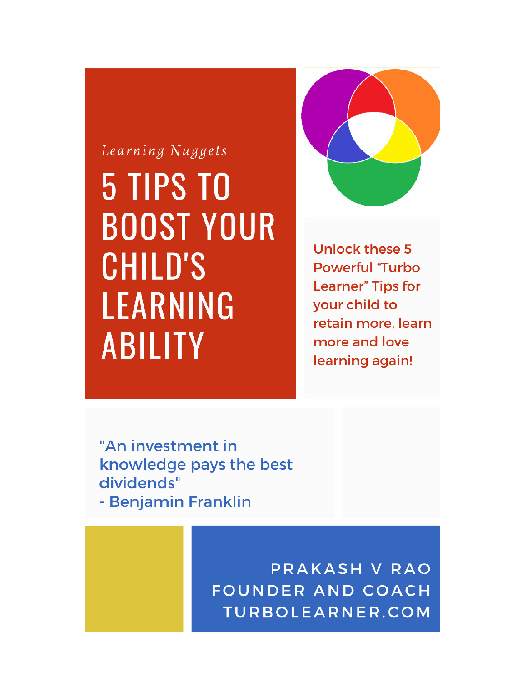# Learning Nuggets 5 TIPS TO **BOOST YOUR CHILD'S** LEARNING **ABILITY**



**Unlock these 5 Powerful 'Turbo Learner**" Tips for your child to retain more, learn more and love learning again!

"An investment in knowledge pays the best dividends" - Benjamin Franklin

> PRAKASH V RAO **FOUNDER AND COACH** TURBOLEARNER.COM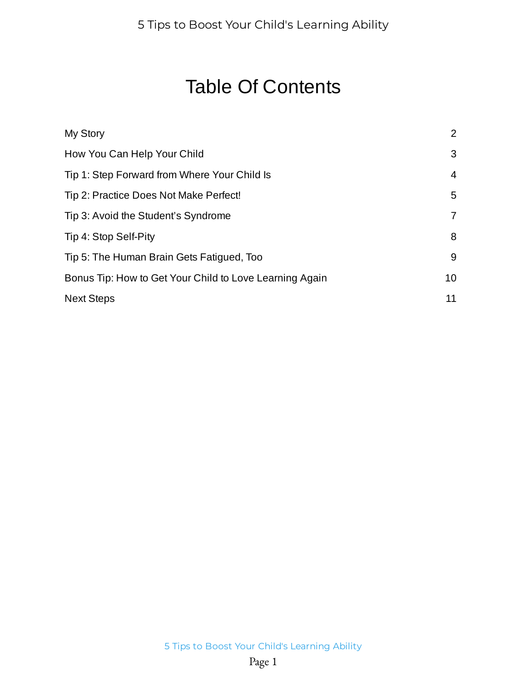#### Table Of Contents

| My Story                                                | 2              |
|---------------------------------------------------------|----------------|
| How You Can Help Your Child                             | 3              |
| Tip 1: Step Forward from Where Your Child Is            | 4              |
| Tip 2: Practice Does Not Make Perfect!                  | 5              |
| Tip 3: Avoid the Student's Syndrome                     | $\overline{7}$ |
| Tip 4: Stop Self-Pity                                   | 8              |
| Tip 5: The Human Brain Gets Fatigued, Too               | 9              |
| Bonus Tip: How to Get Your Child to Love Learning Again | 10             |
| <b>Next Steps</b>                                       | 11             |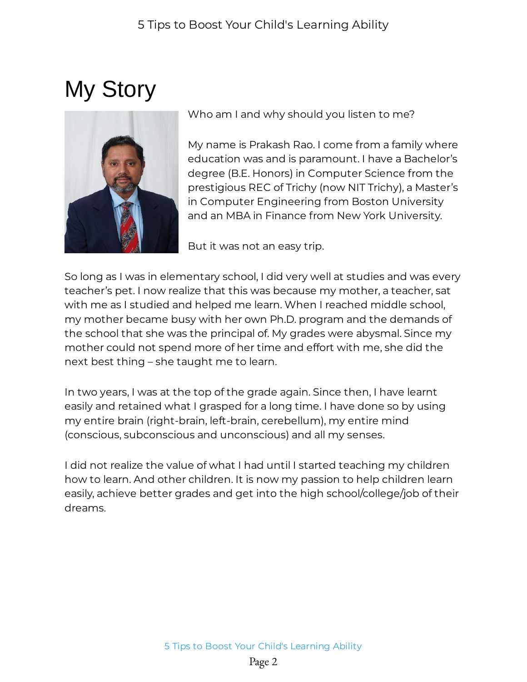## <span id="page-2-0"></span>My Story



Who am I and why should you listen to me?

My name is Prakash Rao. I come from a family where education was and is paramount. I have a Bachelor's degree (B.E. Honors) in Computer Science from the prestigious REC of Trichy (now NIT Trichy), a Master's in Computer Engineering from Boston University and an MBA in Finance from New York University.

But it was not an easy trip.

So long as I was in elementary school, I did very well at studies and was every teacher's pet. I now realize that this was because my mother, a teacher, sat with me as I studied and helped me learn. When I reached middle school, my mother became busy with her own Ph.D. program and the demands of the school that she was the principal of. My grades were abysmal. Since my mother could not spend more of her time and effort with me, she did the next best thing – she taught me to learn.

In two years, I was at the top of the grade again. Since then, I have learnt easily and retained what I grasped for a long time. I have done so by using my entire brain (right-brain, left-brain, cerebellum), my entire mind (conscious, subconscious and unconscious) and all my senses.

I did not realize the value of what I had until I started teaching my children how to learn. And other children. It is now my passion to help children learn easily, achieve better grades and get into the high school/college/job of their dreams.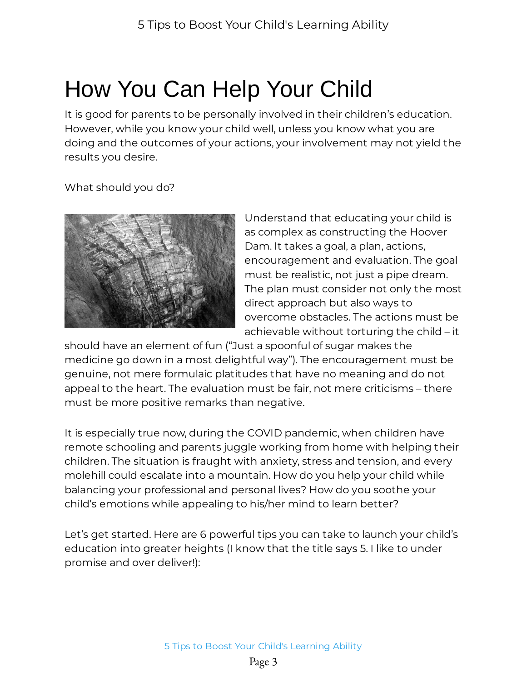### <span id="page-3-0"></span>How You Can Help Your Child

It is good for parents to be personally involved in their children's education. However, while you know your child well, unless you know what you are doing and the outcomes of your actions, your involvement may not yield the results you desire.

What should you do?



Understand that educating your child is as complex as constructing the Hoover Dam. It takes a goal, a plan, actions, encouragement and evaluation. The goal must be realistic, not just a pipe dream. The plan must consider not only the most direct approach but also ways to overcome obstacles. The actions must be achievable without torturing the child – it

should have an element of fun ("Just a spoonful of sugar makes the medicine go down in a most delightful way"). The encouragement must be genuine, not mere formulaic platitudes that have no meaning and do not appeal to the heart. The evaluation must be fair, not mere criticisms – there must be more positive remarks than negative.

It is especially true now, during the COVID pandemic, when children have remote schooling and parents juggle working from home with helping their children. The situation is fraught with anxiety, stress and tension, and every molehill could escalate into a mountain. How do you help your child while balancing your professional and personal lives? How do you soothe your child's emotions while appealing to his/her mind to learn better?

Let's get started. Here are 6 powerful tips you can take to launch your child's education into greater heights (I know that the title says 5. I like to under promise and over deliver!):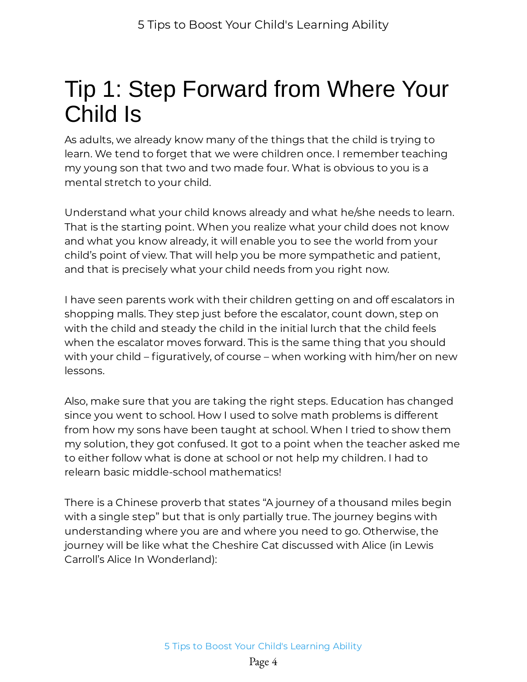### <span id="page-4-0"></span>Tip 1: Step Forward from Where Your Child Is

As adults, we already know many of the things that the child is trying to learn. We tend to forget that we were children once. I remember teaching my young son that two and two made four. What is obvious to you is a mental stretch to your child.

Understand what your child knows already and what he/she needs to learn. That is the starting point. When you realize what your child does not know and what you know already, it will enable you to see the world from your child's point of view. That will help you be more sympathetic and patient, and that is precisely what your child needs from you right now.

I have seen parents work with their children getting on and off escalators in shopping malls. They step just before the escalator, count down, step on with the child and steady the child in the initial lurch that the child feels when the escalator moves forward. This is the same thing that you should with your child – figuratively, of course – when working with him/her on new lessons.

Also, make sure that you are taking the right steps. Education has changed since you went to school. How I used to solve math problems is different from how my sons have been taught at school. When I tried to show them my solution, they got confused. It got to a point when the teacher asked me to either follow what is done at school or not help my children. I had to relearn basic middle-school mathematics!

There is a Chinese proverb that states "A journey of a thousand miles begin with a single step" but that is only partially true. The journey begins with understanding where you are and where you need to go. Otherwise, the journey will be like what the Cheshire Cat discussed with Alice (in Lewis Carroll's Alice In Wonderland):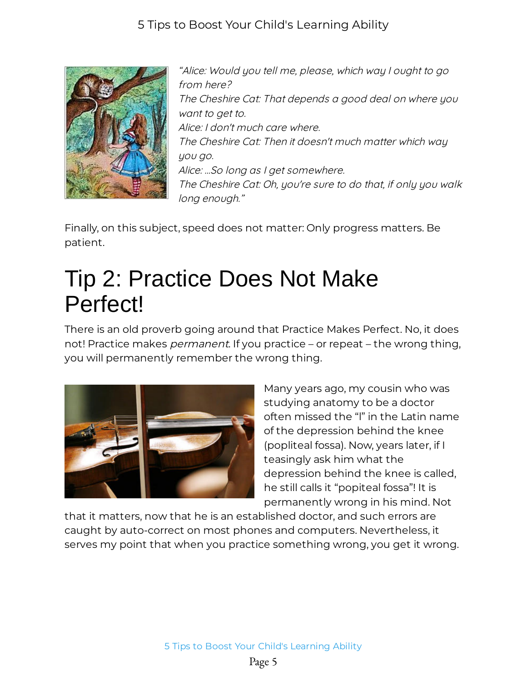

"Alice: Would you tell me, please, which way I ought to go from here? The Cheshire Cat: That depends a good deal on where you want to get to. Alice: I don't much care where. The Cheshire Cat: Then it doesn't much matter which way you go. Alice: ...So long as I get somewhere. The Cheshire Cat: Oh, you're sure to do that, if only you walk long enough."

Finally, on this subject, speed does not matter: Only progress matters. Be patient.

#### <span id="page-5-0"></span>Tip 2: Practice Does Not Make Perfect!

There is an old proverb going around that Practice Makes Perfect. No, it does not! Practice makes *permanent*. If you practice – or repeat – the wrong thing, you will permanently remember the wrong thing.



Many years ago, my cousin who was studying anatomy to be a doctor often missed the "l" in the Latin name of the depression behind the knee (popliteal fossa). Now, years later, if I teasingly ask him what the depression behind the knee is called, he still calls it "popiteal fossa"! It is permanently wrong in his mind. Not

that it matters, now that he is an established doctor, and such errors are caught by auto-correct on most phones and computers. Nevertheless, it serves my point that when you practice something wrong, you get it wrong.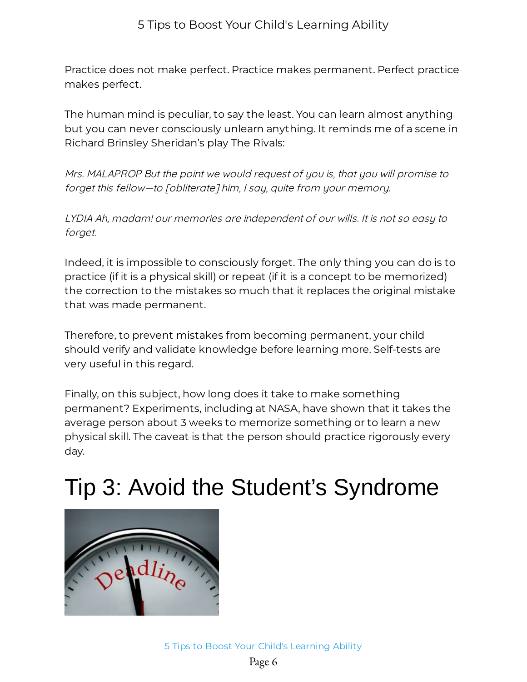Practice does not make perfect. Practice makes permanent. Perfect practice makes perfect.

The human mind is peculiar, to say the least. You can learn almost anything but you can never consciously unlearn anything. It reminds me of a scene in Richard Brinsley Sheridan's play The Rivals:

Mrs. MALAPROP But the point we would request of you is, that you will promise to forget this fellow—to [obliterate] him, I say, quite from your memory.

LYDIA Ah, madam! our memories are independent of our wills. It is not so easy to forget.

Indeed, it is impossible to consciously forget. The only thing you can do is to practice (if it is a physical skill) or repeat (if it is a concept to be memorized) the correction to the mistakes so much that it replaces the original mistake that was made permanent.

Therefore, to prevent mistakes from becoming permanent, your child should verify and validate knowledge before learning more. Self-tests are very useful in this regard.

Finally, on this subject, how long does it take to make something permanent? Experiments, including at NASA, have shown that it takes the average person about 3 weeks to memorize something or to learn a new physical skill. The caveat is that the person should practice rigorously every day.

### <span id="page-6-0"></span>Tip 3: Avoid the Student's Syndrome

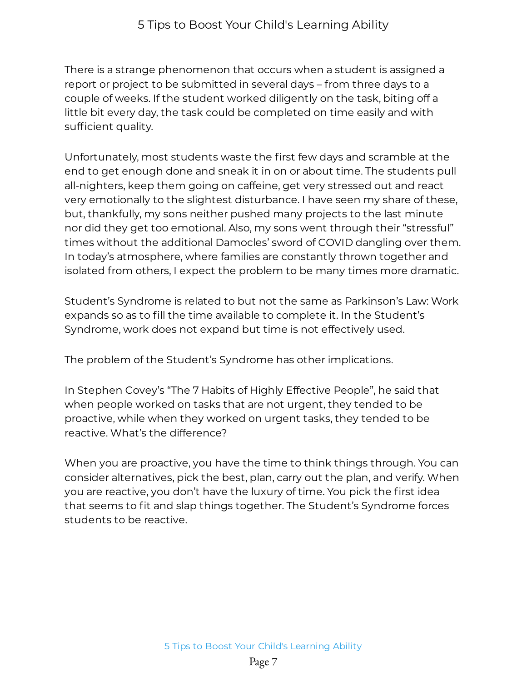There is a strange phenomenon that occurs when a student is assigned a report or project to be submitted in several days – from three days to a couple of weeks. If the student worked diligently on the task, biting off a little bit every day, the task could be completed on time easily and with sufficient quality.

Unfortunately, most students waste the first few days and scramble at the end to get enough done and sneak it in on or about time. The students pull all-nighters, keep them going on caffeine, get very stressed out and react very emotionally to the slightest disturbance. I have seen my share of these, but, thankfully, my sons neither pushed many projects to the last minute nor did they get too emotional. Also, my sons went through their "stressful" times without the additional Damocles' sword of COVID dangling over them. In today's atmosphere, where families are constantly thrown together and isolated from others, I expect the problem to be many times more dramatic.

Student's Syndrome is related to but not the same as Parkinson's Law: Work expands so as to fill the time available to complete it. In the Student's Syndrome, work does not expand but time is not effectively used.

The problem of the Student's Syndrome has other implications.

In Stephen Covey's "The 7 Habits of Highly Effective People", he said that when people worked on tasks that are not urgent, they tended to be proactive, while when they worked on urgent tasks, they tended to be reactive. What's the difference?

When you are proactive, you have the time to think things through. You can consider alternatives, pick the best, plan, carry out the plan, and verify. When you are reactive, you don't have the luxury of time. You pick the first idea that seems to fit and slap things together. The Student's Syndrome forces students to be reactive.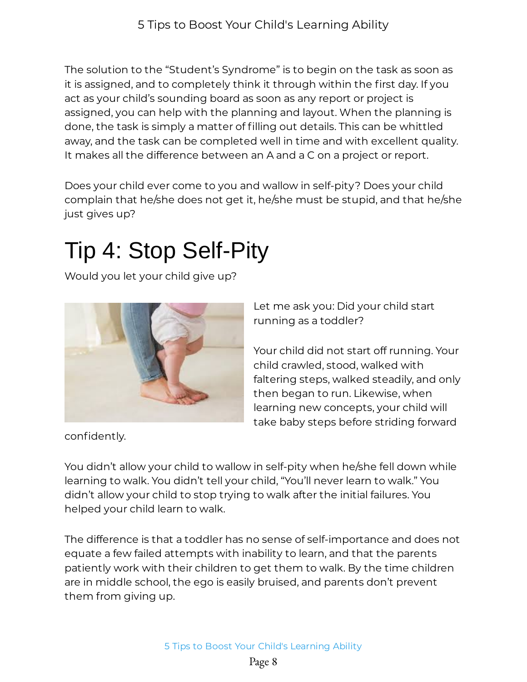The solution to the "Student's Syndrome" is to begin on the task as soon as it is assigned, and to completely think it through within the first day. If you act as your child's sounding board as soon as any report or project is assigned, you can help with the planning and layout. When the planning is done, the task is simply a matter of filling out details. This can be whittled away, and the task can be completed well in time and with excellent quality. It makes all the difference between an A and a C on a project or report.

Does your child ever come to you and wallow in self-pity? Does your child complain that he/she does not get it, he/she must be stupid, and that he/she just gives up?

### <span id="page-8-0"></span>Tip 4: Stop Self-Pity

Would you let your child give up?



Let me ask you: Did your child start running as a toddler?

Your child did not start off running. Your child crawled, stood, walked with faltering steps, walked steadily, and only then began to run. Likewise, when learning new concepts, your child will take baby steps before striding forward

confidently.

You didn't allow your child to wallow in self-pity when he/she fell down while learning to walk. You didn't tell your child, "You'll never learn to walk." You didn't allow your child to stop trying to walk after the initial failures. You helped your child learn to walk.

The difference is that a toddler has no sense of self-importance and does not equate a few failed attempts with inability to learn, and that the parents patiently work with their children to get them to walk. By the time children are in middle school, the ego is easily bruised, and parents don't prevent them from giving up.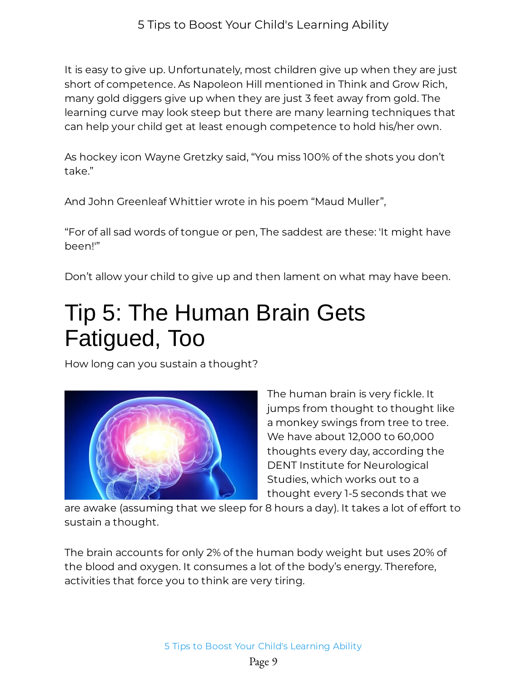It is easy to give up. Unfortunately, most children give up when they are just short of competence. As Napoleon Hill mentioned in Think and Grow Rich, many gold diggers give up when they are just 3 feet away from gold. The learning curve may look steep but there are many learning techniques that can help your child get at least enough competence to hold his/her own.

As hockey icon Wayne Gretzky said, "You miss 100% of the shots you don't take."

And John Greenleaf Whittier wrote in his poem "Maud Muller",

"For of all sad words of tongue or pen, The saddest are these: 'It might have been!'"

Don't allow your child to give up and then lament on what may have been.

#### <span id="page-9-0"></span>Tip 5: The Human Brain Gets Fatigued, Too

How long can you sustain a thought?



The human brain is very fickle. It jumps from thought to thought like a monkey swings from tree to tree. We have about 12,000 to 60,000 thoughts every day, according the DENT Institute for Neurological Studies, which works out to a thought every 1-5 seconds that we

are awake (assuming that we sleep for 8 hours a day). It takes a lot of effort to sustain a thought.

The brain accounts for only 2% of the human body weight but uses 20% of the blood and oxygen. It consumes a lot of the body's energy. Therefore, activities that force you to think are very tiring.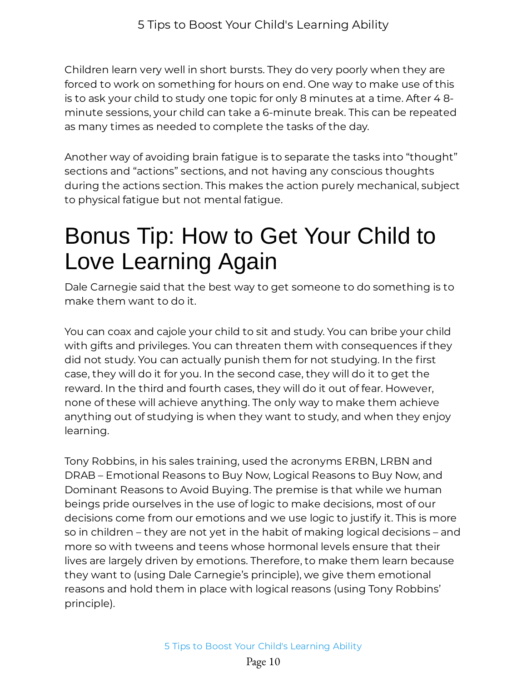Children learn very well in short bursts. They do very poorly when they are forced to work on something for hours on end. One way to make use of this is to ask your child to study one topic for only 8 minutes at a time. After 4 8 minute sessions, your child can take a 6-minute break. This can be repeated as many times as needed to complete the tasks of the day.

Another way of avoiding brain fatigue is to separate the tasks into "thought" sections and "actions" sections, and not having any conscious thoughts during the actions section. This makes the action purely mechanical, subject to physical fatigue but not mental fatigue.

#### <span id="page-10-0"></span>Bonus Tip: How to Get Your Child to Love Learning Again

Dale Carnegie said that the best way to get someone to do something is to make them want to do it.

You can coax and cajole your child to sit and study. You can bribe your child with gifts and privileges. You can threaten them with consequences if they did not study. You can actually punish them for not studying. In the first case, they will do it for you. In the second case, they will do it to get the reward. In the third and fourth cases, they will do it out of fear. However, none of these will achieve anything. The only way to make them achieve anything out of studying is when they want to study, and when they enjoy learning.

Tony Robbins, in his sales training, used the acronyms ERBN, LRBN and DRAB – Emotional Reasons to Buy Now, Logical Reasons to Buy Now, and Dominant Reasons to Avoid Buying. The premise is that while we human beings pride ourselves in the use of logic to make decisions, most of our decisions come from our emotions and we use logic to justify it. This is more so in children – they are not yet in the habit of making logical decisions – and more so with tweens and teens whose hormonal levels ensure that their lives are largely driven by emotions. Therefore, to make them learn because they want to (using Dale Carnegie's principle), we give them emotional reasons and hold them in place with logical reasons (using Tony Robbins' principle).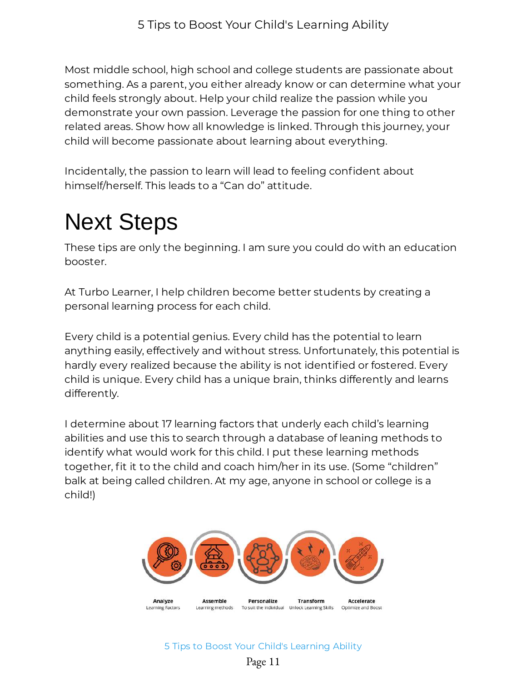Most middle school, high school and college students are passionate about something. As a parent, you either already know or can determine what your child feels strongly about. Help your child realize the passion while you demonstrate your own passion. Leverage the passion for one thing to other related areas. Show how all knowledge is linked. Through this journey, your child will become passionate about learning about everything.

Incidentally, the passion to learn will lead to feeling confident about himself/herself. This leads to a "Can do" attitude.

### <span id="page-11-0"></span>Next Steps

These tips are only the beginning. I am sure you could do with an education booster.

At Turbo Learner, I help children become better students by creating a personal learning process for each child.

Every child is a potential genius. Every child has the potential to learn anything easily, effectively and without stress. Unfortunately, this potential is hardly every realized because the ability is not identified or fostered. Every child is unique. Every child has a unique brain, thinks differently and learns differently.

I determine about 17 learning factors that underly each child's learning abilities and use this to search through a database of leaning methods to identify what would work for this child. I put these learning methods together, fit it to the child and coach him/her in its use. (Some "children" balk at being called children. At my age, anyone in school or college is a child!)



5 Tips to Boost Your Child's Learning Ability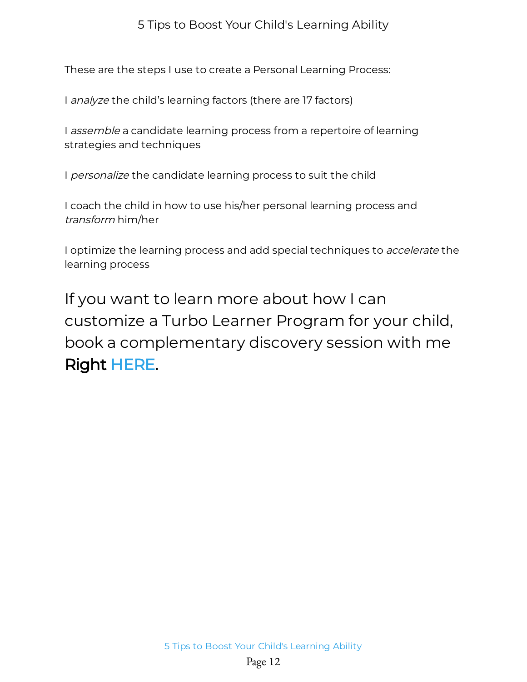These are the steps I use to create a Personal Learning Process:

I analyze the child's learning factors (there are 17 factors)

I *assemble* a candidate learning process from a repertoire of learning strategies and techniques

I personalize the candidate learning process to suit the child

I coach the child in how to use his/her personal learning process and transform him/her

I optimize the learning process and add special techniques to *accelerate* the learning process

If you want to learn more about how I can customize a Turbo Learner Program for your child, book a complementary discovery session with me Right [HERE](https://msgsndr.com/widget/booking/iorEmhRcC9c6eAnIBDvR).